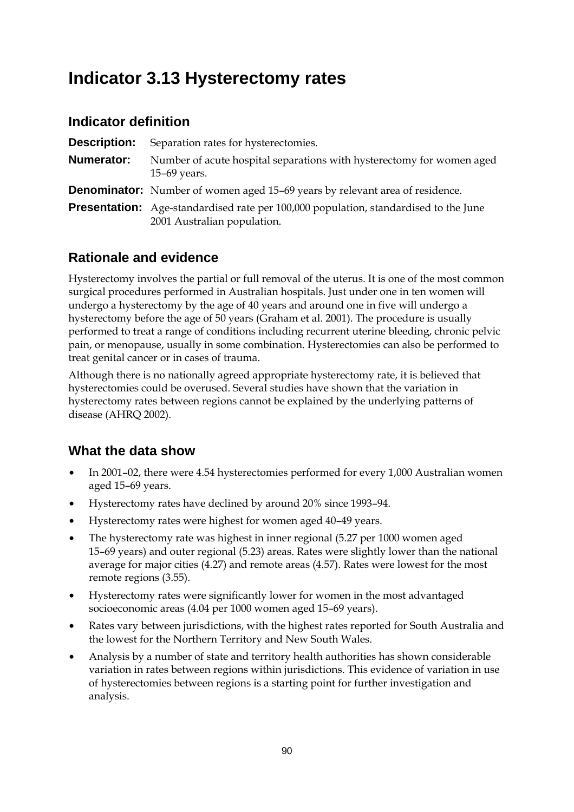# **Indicator 3.13 Hysterectomy rates**

#### **Indicator definition**

| Description: | Separation rates for hysterectomies.                                                                                       |
|--------------|----------------------------------------------------------------------------------------------------------------------------|
| Numerator:   | Number of acute hospital separations with hysterectomy for women aged<br>$15-69$ years.                                    |
|              | <b>Denominator:</b> Number of women aged 15-69 years by relevant area of residence.                                        |
|              | <b>Presentation:</b> Age-standardised rate per 100,000 population, standardised to the June<br>2001 Australian population. |

### **Rationale and evidence**

Hysterectomy involves the partial or full removal of the uterus. It is one of the most common surgical procedures performed in Australian hospitals. Just under one in ten women will undergo a hysterectomy by the age of 40 years and around one in five will undergo a hysterectomy before the age of 50 years (Graham et al. 2001). The procedure is usually performed to treat a range of conditions including recurrent uterine bleeding, chronic pelvic pain, or menopause, usually in some combination. Hysterectomies can also be performed to treat genital cancer or in cases of trauma.

Although there is no nationally agreed appropriate hysterectomy rate, it is believed that hysterectomies could be overused. Several studies have shown that the variation in hysterectomy rates between regions cannot be explained by the underlying patterns of disease (AHRQ 2002).

- In 2001–02, there were 4.54 hysterectomies performed for every 1,000 Australian women aged 15–69 years.
- Hysterectomy rates have declined by around 20% since 1993–94.
- Hysterectomy rates were highest for women aged 40–49 years.
- The hysterectomy rate was highest in inner regional (5.27 per 1000 women aged 15–69 years) and outer regional (5.23) areas. Rates were slightly lower than the national average for major cities (4.27) and remote areas (4.57). Rates were lowest for the most remote regions (3.55).
- Hysterectomy rates were significantly lower for women in the most advantaged socioeconomic areas (4.04 per 1000 women aged 15–69 years).
- Rates vary between jurisdictions, with the highest rates reported for South Australia and the lowest for the Northern Territory and New South Wales.
- Analysis by a number of state and territory health authorities has shown considerable variation in rates between regions within jurisdictions. This evidence of variation in use of hysterectomies between regions is a starting point for further investigation and analysis.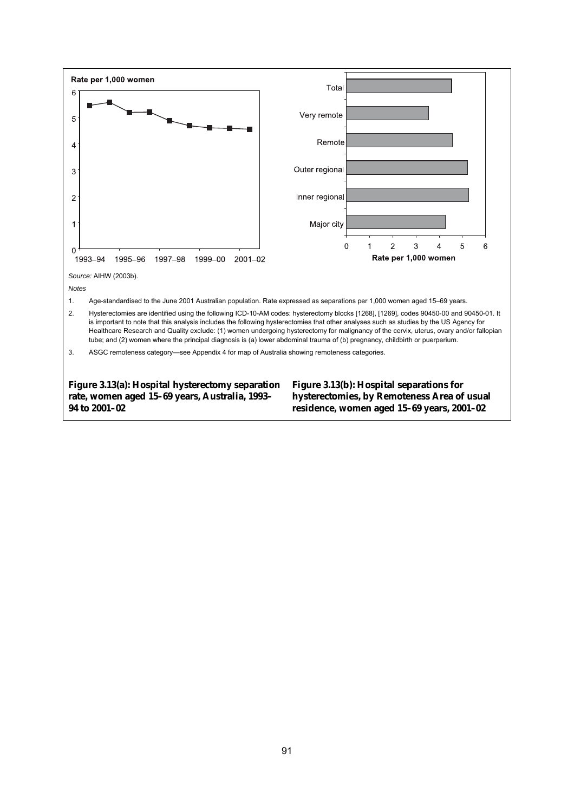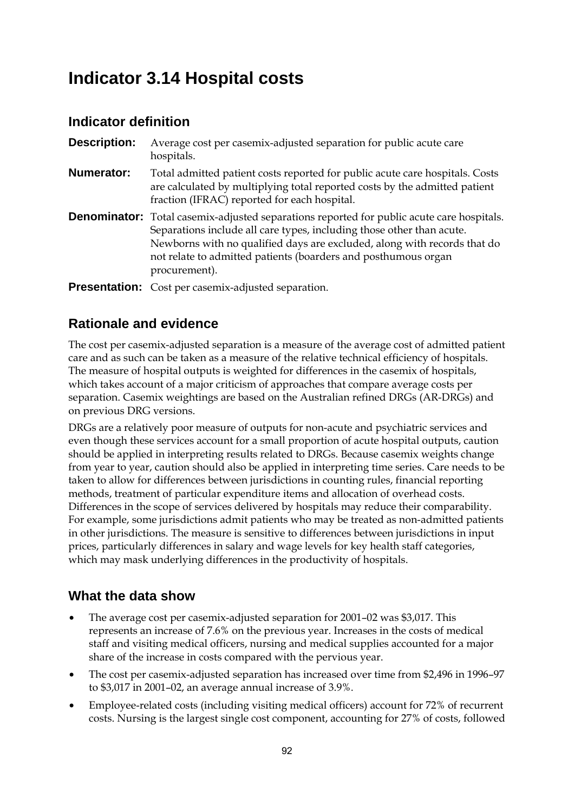# **Indicator 3.14 Hospital costs**

# **Indicator definition**

| <b>Description:</b> | Average cost per casemix-adjusted separation for public acute care<br>hospitals.                                                                                                                                                                                                                                                         |
|---------------------|------------------------------------------------------------------------------------------------------------------------------------------------------------------------------------------------------------------------------------------------------------------------------------------------------------------------------------------|
| <b>Numerator:</b>   | Total admitted patient costs reported for public acute care hospitals. Costs<br>are calculated by multiplying total reported costs by the admitted patient<br>fraction (IFRAC) reported for each hospital.                                                                                                                               |
|                     | <b>Denominator:</b> Total casemix-adjusted separations reported for public acute care hospitals.<br>Separations include all care types, including those other than acute.<br>Newborns with no qualified days are excluded, along with records that do<br>not relate to admitted patients (boarders and posthumous organ<br>procurement). |
|                     | <b>Presentation:</b> Cost per casemix-adjusted separation.                                                                                                                                                                                                                                                                               |

# **Rationale and evidence**

The cost per casemix-adjusted separation is a measure of the average cost of admitted patient care and as such can be taken as a measure of the relative technical efficiency of hospitals. The measure of hospital outputs is weighted for differences in the casemix of hospitals, which takes account of a major criticism of approaches that compare average costs per separation. Casemix weightings are based on the Australian refined DRGs (AR-DRGs) and on previous DRG versions.

DRGs are a relatively poor measure of outputs for non-acute and psychiatric services and even though these services account for a small proportion of acute hospital outputs, caution should be applied in interpreting results related to DRGs. Because casemix weights change from year to year, caution should also be applied in interpreting time series. Care needs to be taken to allow for differences between jurisdictions in counting rules, financial reporting methods, treatment of particular expenditure items and allocation of overhead costs. Differences in the scope of services delivered by hospitals may reduce their comparability. For example, some jurisdictions admit patients who may be treated as non-admitted patients in other jurisdictions. The measure is sensitive to differences between jurisdictions in input prices, particularly differences in salary and wage levels for key health staff categories, which may mask underlying differences in the productivity of hospitals.

- The average cost per casemix-adjusted separation for 2001–02 was \$3,017. This represents an increase of 7.6% on the previous year. Increases in the costs of medical staff and visiting medical officers, nursing and medical supplies accounted for a major share of the increase in costs compared with the pervious year.
- The cost per casemix-adjusted separation has increased over time from \$2,496 in 1996–97 to \$3,017 in 2001–02, an average annual increase of 3.9%.
- Employee-related costs (including visiting medical officers) account for 72% of recurrent costs. Nursing is the largest single cost component, accounting for 27% of costs, followed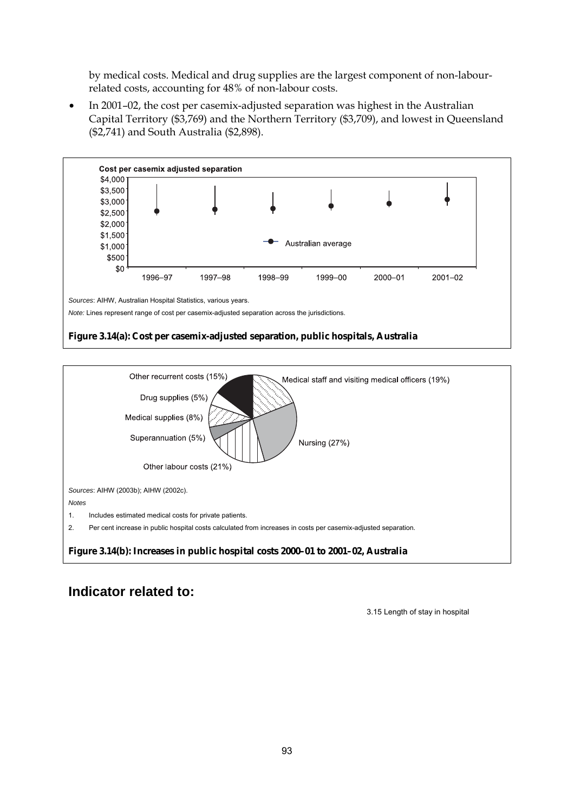by medical costs. Medical and drug supplies are the largest component of non-labourrelated costs, accounting for 48% of non-labour costs.

• In 2001–02, the cost per casemix-adjusted separation was highest in the Australian Capital Territory (\$3,769) and the Northern Territory (\$3,709), and lowest in Queensland (\$2,741) and South Australia (\$2,898).



#### **Figure 3.14(a): Cost per casemix-adjusted separation, public hospitals, Australia**



#### **Indicator related to:**

3.15 Length of stay in hospital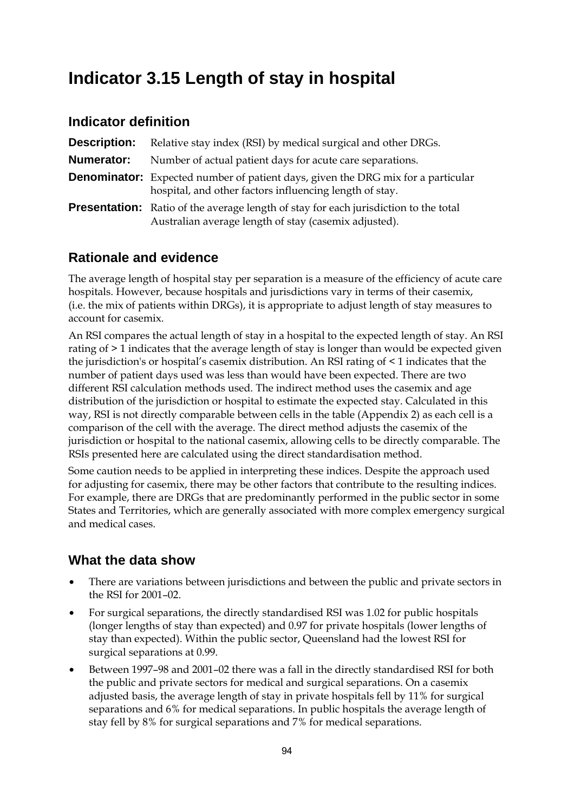# **Indicator 3.15 Length of stay in hospital**

#### **Indicator definition**

| <b>Description:</b> | Relative stay index (RSI) by medical surgical and other DRGs.                                                                                        |
|---------------------|------------------------------------------------------------------------------------------------------------------------------------------------------|
| Numerator:          | Number of actual patient days for acute care separations.                                                                                            |
|                     | <b>Denominator:</b> Expected number of patient days, given the DRG mix for a particular<br>hospital, and other factors influencing length of stay.   |
|                     | <b>Presentation:</b> Ratio of the average length of stay for each jurisdiction to the total<br>Australian average length of stay (casemix adjusted). |

#### **Rationale and evidence**

The average length of hospital stay per separation is a measure of the efficiency of acute care hospitals. However, because hospitals and jurisdictions vary in terms of their casemix, (i.e. the mix of patients within DRGs), it is appropriate to adjust length of stay measures to account for casemix.

An RSI compares the actual length of stay in a hospital to the expected length of stay. An RSI rating of > 1 indicates that the average length of stay is longer than would be expected given the jurisdiction's or hospital's casemix distribution. An RSI rating of < 1 indicates that the number of patient days used was less than would have been expected. There are two different RSI calculation methods used. The indirect method uses the casemix and age distribution of the jurisdiction or hospital to estimate the expected stay. Calculated in this way, RSI is not directly comparable between cells in the table (Appendix 2) as each cell is a comparison of the cell with the average. The direct method adjusts the casemix of the jurisdiction or hospital to the national casemix, allowing cells to be directly comparable. The RSIs presented here are calculated using the direct standardisation method.

Some caution needs to be applied in interpreting these indices. Despite the approach used for adjusting for casemix, there may be other factors that contribute to the resulting indices. For example, there are DRGs that are predominantly performed in the public sector in some States and Territories, which are generally associated with more complex emergency surgical and medical cases.

- There are variations between jurisdictions and between the public and private sectors in the RSI for 2001–02.
- For surgical separations, the directly standardised RSI was 1.02 for public hospitals (longer lengths of stay than expected) and 0.97 for private hospitals (lower lengths of stay than expected). Within the public sector, Queensland had the lowest RSI for surgical separations at 0.99.
- Between 1997–98 and 2001–02 there was a fall in the directly standardised RSI for both the public and private sectors for medical and surgical separations. On a casemix adjusted basis, the average length of stay in private hospitals fell by 11% for surgical separations and 6% for medical separations. In public hospitals the average length of stay fell by 8% for surgical separations and 7% for medical separations.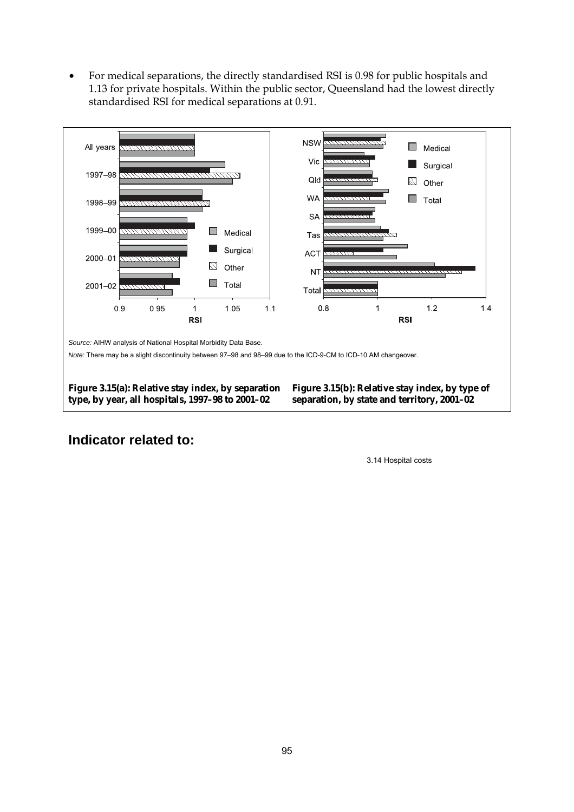• For medical separations, the directly standardised RSI is 0.98 for public hospitals and 1.13 for private hospitals. Within the public sector, Queensland had the lowest directly standardised RSI for medical separations at 0.91.



#### **Indicator related to:**

3.14 Hospital costs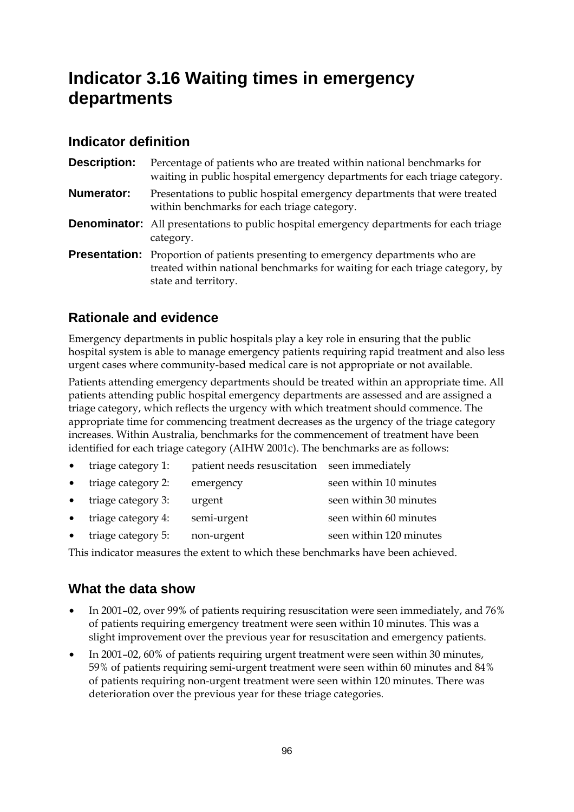# **Indicator 3.16 Waiting times in emergency departments**

# **Indicator definition**

| <b>Description:</b> | Percentage of patients who are treated within national benchmarks for<br>waiting in public hospital emergency departments for each triage category.                                            |
|---------------------|------------------------------------------------------------------------------------------------------------------------------------------------------------------------------------------------|
| <b>Numerator:</b>   | Presentations to public hospital emergency departments that were treated<br>within benchmarks for each triage category.                                                                        |
|                     | <b>Denominator:</b> All presentations to public hospital emergency departments for each triage<br>category.                                                                                    |
|                     | <b>Presentation:</b> Proportion of patients presenting to emergency departments who are<br>treated within national benchmarks for waiting for each triage category, by<br>state and territory. |

# **Rationale and evidence**

Emergency departments in public hospitals play a key role in ensuring that the public hospital system is able to manage emergency patients requiring rapid treatment and also less urgent cases where community-based medical care is not appropriate or not available.

Patients attending emergency departments should be treated within an appropriate time. All patients attending public hospital emergency departments are assessed and are assigned a triage category, which reflects the urgency with which treatment should commence. The appropriate time for commencing treatment decreases as the urgency of the triage category increases. Within Australia, benchmarks for the commencement of treatment have been identified for each triage category (AIHW 2001c). The benchmarks are as follows:

- triage category 1: patient needs resuscitation seen immediately
- triage category 2: emergency seen within 10 minutes triage category 3: urgent seen within 30 minutes
- triage category 4: semi-urgent seen within 60 minutes
- triage category 5: non-urgent seen within 120 minutes

This indicator measures the extent to which these benchmarks have been achieved.

- In 2001–02, over 99% of patients requiring resuscitation were seen immediately, and 76% of patients requiring emergency treatment were seen within 10 minutes. This was a slight improvement over the previous year for resuscitation and emergency patients.
- In 2001–02, 60% of patients requiring urgent treatment were seen within 30 minutes, 59% of patients requiring semi-urgent treatment were seen within 60 minutes and 84% of patients requiring non-urgent treatment were seen within 120 minutes. There was deterioration over the previous year for these triage categories.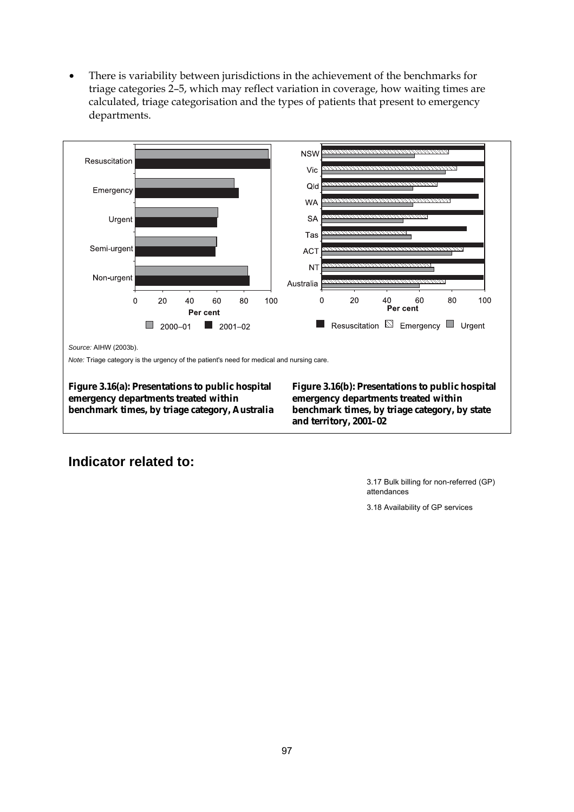• There is variability between jurisdictions in the achievement of the benchmarks for triage categories 2–5, which may reflect variation in coverage, how waiting times are calculated, triage categorisation and the types of patients that present to emergency departments.



# **Indicator related to:**

 3.17 Bulk billing for non-referred (GP) attendances

3.18 Availability of GP services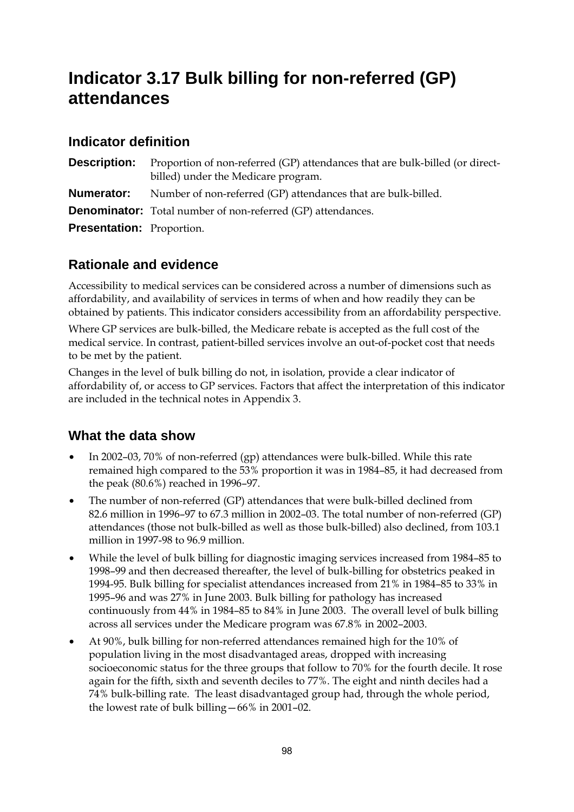# **Indicator 3.17 Bulk billing for non-referred (GP) attendances**

### **Indicator definition**

**Description:** Proportion of non-referred (GP) attendances that are bulk-billed (or directbilled) under the Medicare program. **Numerator:** Number of non-referred (GP) attendances that are bulk-billed. **Denominator:** Total number of non-referred (GP) attendances. **Presentation:** Proportion.

# **Rationale and evidence**

Accessibility to medical services can be considered across a number of dimensions such as affordability, and availability of services in terms of when and how readily they can be obtained by patients. This indicator considers accessibility from an affordability perspective.

Where GP services are bulk-billed, the Medicare rebate is accepted as the full cost of the medical service. In contrast, patient-billed services involve an out-of-pocket cost that needs to be met by the patient.

Changes in the level of bulk billing do not, in isolation, provide a clear indicator of affordability of, or access to GP services. Factors that affect the interpretation of this indicator are included in the technical notes in Appendix 3.

- In 2002–03, 70% of non-referred (gp) attendances were bulk-billed. While this rate remained high compared to the 53% proportion it was in 1984–85, it had decreased from the peak (80.6%) reached in 1996–97.
- The number of non-referred (GP) attendances that were bulk-billed declined from 82.6 million in 1996–97 to 67.3 million in 2002–03. The total number of non-referred (GP) attendances (those not bulk-billed as well as those bulk-billed) also declined, from 103.1 million in 1997-98 to 96.9 million.
- While the level of bulk billing for diagnostic imaging services increased from 1984–85 to 1998–99 and then decreased thereafter, the level of bulk-billing for obstetrics peaked in 1994-95. Bulk billing for specialist attendances increased from 21% in 1984–85 to 33% in 1995–96 and was 27% in June 2003. Bulk billing for pathology has increased continuously from 44% in 1984–85 to 84% in June 2003. The overall level of bulk billing across all services under the Medicare program was 67.8% in 2002–2003.
- At 90%, bulk billing for non-referred attendances remained high for the 10% of population living in the most disadvantaged areas, dropped with increasing socioeconomic status for the three groups that follow to 70% for the fourth decile. It rose again for the fifth, sixth and seventh deciles to 77%. The eight and ninth deciles had a 74% bulk-billing rate. The least disadvantaged group had, through the whole period, the lowest rate of bulk billing—66% in 2001–02.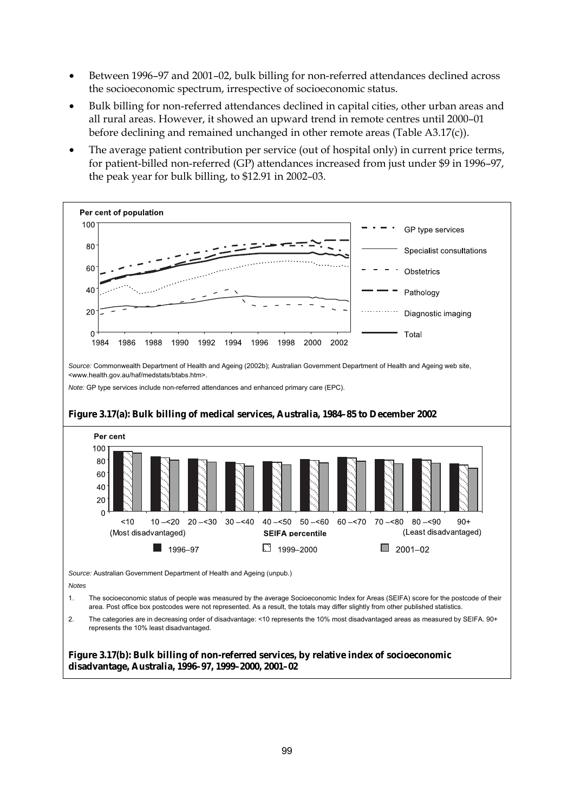- Between 1996–97 and 2001–02, bulk billing for non-referred attendances declined across the socioeconomic spectrum, irrespective of socioeconomic status.
- Bulk billing for non-referred attendances declined in capital cities, other urban areas and all rural areas. However, it showed an upward trend in remote centres until 2000–01 before declining and remained unchanged in other remote areas (Table A3.17(c)).
- The average patient contribution per service (out of hospital only) in current price terms, for patient-billed non-referred (GP) attendances increased from just under \$9 in 1996–97, the peak year for bulk billing, to \$12.91 in 2002–03.

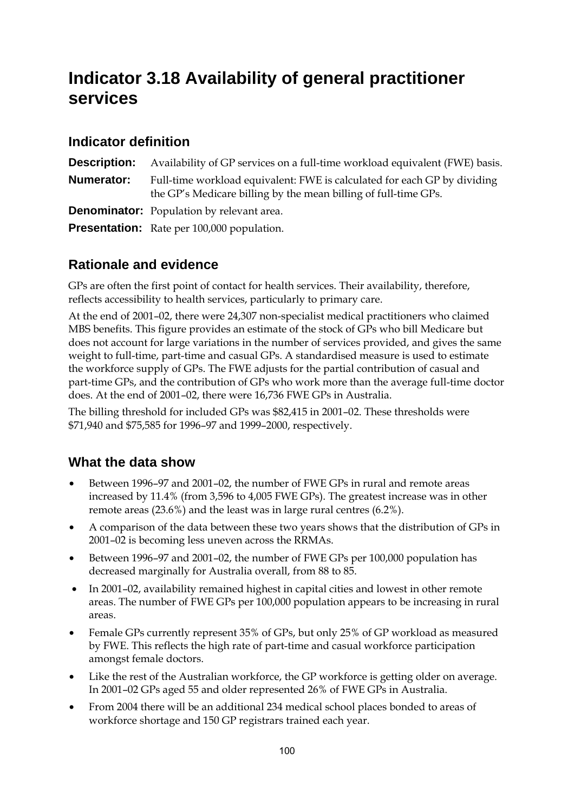# **Indicator 3.18 Availability of general practitioner services**

### **Indicator definition**

|            | <b>Description:</b> Availability of GP services on a full-time workload equivalent (FWE) basis.                                             |
|------------|---------------------------------------------------------------------------------------------------------------------------------------------|
| Numerator: | Full-time workload equivalent: FWE is calculated for each GP by dividing<br>the GP's Medicare billing by the mean billing of full-time GPs. |
|            | <b>Denominator:</b> Population by relevant area.                                                                                            |
|            | <b>Presentation:</b> Rate per 100,000 population.                                                                                           |

# **Rationale and evidence**

GPs are often the first point of contact for health services. Their availability, therefore, reflects accessibility to health services, particularly to primary care.

At the end of 2001–02, there were 24,307 non-specialist medical practitioners who claimed MBS benefits. This figure provides an estimate of the stock of GPs who bill Medicare but does not account for large variations in the number of services provided, and gives the same weight to full-time, part-time and casual GPs. A standardised measure is used to estimate the workforce supply of GPs. The FWE adjusts for the partial contribution of casual and part-time GPs, and the contribution of GPs who work more than the average full-time doctor does. At the end of 2001–02, there were 16,736 FWE GPs in Australia.

The billing threshold for included GPs was \$82,415 in 2001–02. These thresholds were \$71,940 and \$75,585 for 1996–97 and 1999–2000, respectively.

- Between 1996–97 and 2001–02, the number of FWE GPs in rural and remote areas increased by 11.4% (from 3,596 to 4,005 FWE GPs). The greatest increase was in other remote areas (23.6%) and the least was in large rural centres (6.2%).
- A comparison of the data between these two years shows that the distribution of GPs in 2001–02 is becoming less uneven across the RRMAs.
- Between 1996–97 and 2001–02, the number of FWE GPs per 100,000 population has decreased marginally for Australia overall, from 88 to 85.
- In 2001–02, availability remained highest in capital cities and lowest in other remote areas. The number of FWE GPs per 100,000 population appears to be increasing in rural areas.
- Female GPs currently represent 35% of GPs, but only 25% of GP workload as measured by FWE. This reflects the high rate of part-time and casual workforce participation amongst female doctors.
- Like the rest of the Australian workforce, the GP workforce is getting older on average. In 2001–02 GPs aged 55 and older represented 26% of FWE GPs in Australia.
- From 2004 there will be an additional 234 medical school places bonded to areas of workforce shortage and 150 GP registrars trained each year.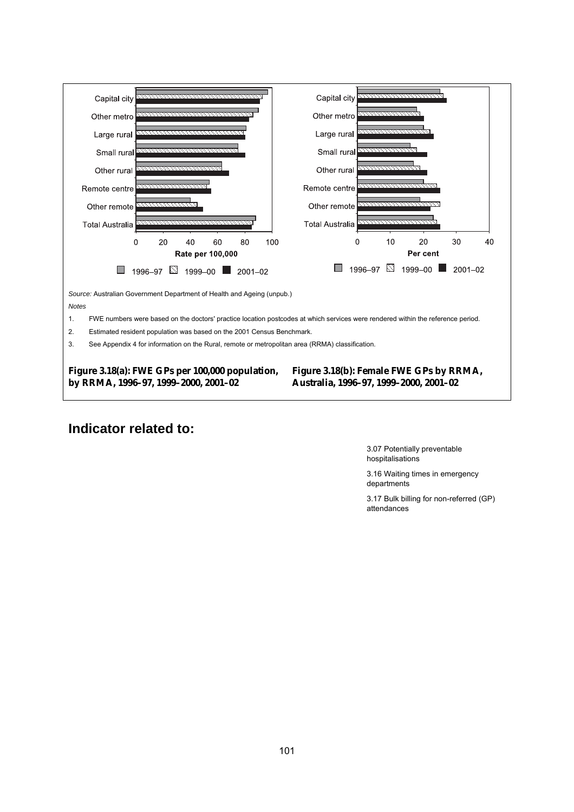

### **Indicator related to:**

 3.07 Potentially preventable hospitalisations

3.16 Waiting times in emergency departments

3.17 Bulk billing for non-referred (GP) attendances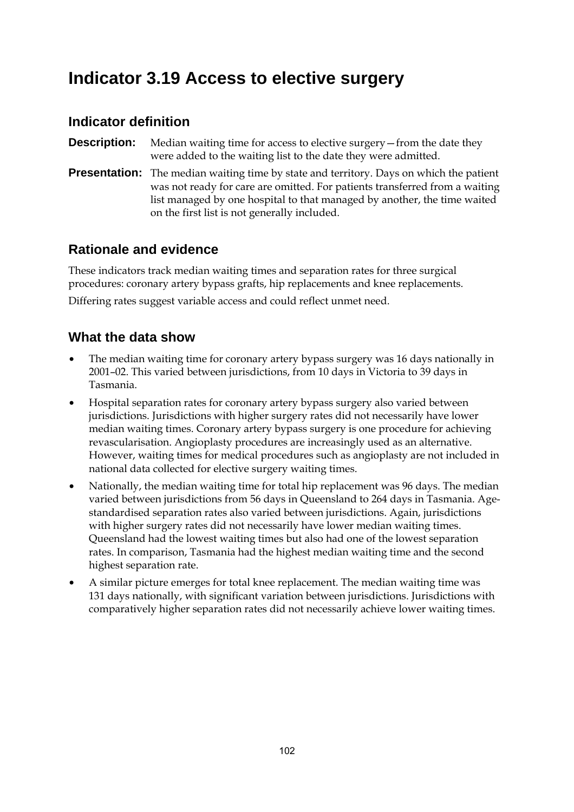# **Indicator 3.19 Access to elective surgery**

#### **Indicator definition**

**Description:** Median waiting time for access to elective surgery—from the date they were added to the waiting list to the date they were admitted.

**Presentation:** The median waiting time by state and territory. Days on which the patient was not ready for care are omitted. For patients transferred from a waiting list managed by one hospital to that managed by another, the time waited on the first list is not generally included.

### **Rationale and evidence**

These indicators track median waiting times and separation rates for three surgical procedures: coronary artery bypass grafts, hip replacements and knee replacements.

Differing rates suggest variable access and could reflect unmet need.

- The median waiting time for coronary artery bypass surgery was 16 days nationally in 2001–02. This varied between jurisdictions, from 10 days in Victoria to 39 days in Tasmania.
- Hospital separation rates for coronary artery bypass surgery also varied between jurisdictions. Jurisdictions with higher surgery rates did not necessarily have lower median waiting times. Coronary artery bypass surgery is one procedure for achieving revascularisation. Angioplasty procedures are increasingly used as an alternative. However, waiting times for medical procedures such as angioplasty are not included in national data collected for elective surgery waiting times.
- Nationally, the median waiting time for total hip replacement was 96 days. The median varied between jurisdictions from 56 days in Queensland to 264 days in Tasmania. Agestandardised separation rates also varied between jurisdictions. Again, jurisdictions with higher surgery rates did not necessarily have lower median waiting times. Queensland had the lowest waiting times but also had one of the lowest separation rates. In comparison, Tasmania had the highest median waiting time and the second highest separation rate.
- A similar picture emerges for total knee replacement. The median waiting time was 131 days nationally, with significant variation between jurisdictions. Jurisdictions with comparatively higher separation rates did not necessarily achieve lower waiting times.